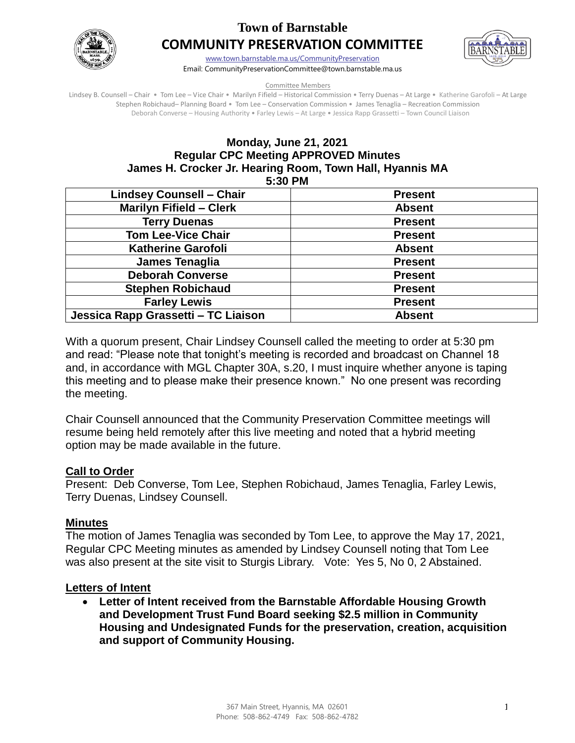

# **Town of Barnstable COMMUNITY PRESERVATION COMMITTEE**



[www.town.barnstable.ma.us/CommunityPreservation](http://www.town.barnstable.ma.us/CommunityPreservation) Email: CommunityPreservationCommittee@town.barnstable.ma.us

#### Committee Members

Lindsey B. Counsell – Chair • Tom Lee – Vice Chair • Marilyn Fifield – Historical Commission • Terry Duenas – At Large • Katherine Garofoli – At Large Stephen Robichaud– Planning Board • Tom Lee – Conservation Commission • James Tenaglia – Recreation Commission Deborah Converse – Housing Authority • Farley Lewis – At Large • Jessica Rapp Grassetti – Town Council Liaison

# **Monday, June 21, 2021 Regular CPC Meeting APPROVED Minutes James H. Crocker Jr. Hearing Room, Town Hall, Hyannis MA**

**5:30 PM** 

| <b>Present</b> |
|----------------|
| <b>Absent</b>  |
| <b>Present</b> |
| <b>Present</b> |
| <b>Absent</b>  |
| <b>Present</b> |
| <b>Present</b> |
| <b>Present</b> |
| <b>Present</b> |
| <b>Absent</b>  |
|                |

With a quorum present, Chair Lindsey Counsell called the meeting to order at 5:30 pm and read: "Please note that tonight's meeting is recorded and broadcast on Channel 18 and, in accordance with MGL Chapter 30A, s.20, I must inquire whether anyone is taping this meeting and to please make their presence known." No one present was recording the meeting.

Chair Counsell announced that the Community Preservation Committee meetings will resume being held remotely after this live meeting and noted that a hybrid meeting option may be made available in the future.

#### **Call to Order**

Present: Deb Converse, Tom Lee, Stephen Robichaud, James Tenaglia, Farley Lewis, Terry Duenas, Lindsey Counsell.

## **Minutes**

The motion of James Tenaglia was seconded by Tom Lee, to approve the May 17, 2021, Regular CPC Meeting minutes as amended by Lindsey Counsell noting that Tom Lee was also present at the site visit to Sturgis Library. Vote: Yes 5, No 0, 2 Abstained.

#### **Letters of Intent**

 **Letter of Intent received from the Barnstable Affordable Housing Growth and Development Trust Fund Board seeking \$2.5 million in Community Housing and Undesignated Funds for the preservation, creation, acquisition and support of Community Housing.**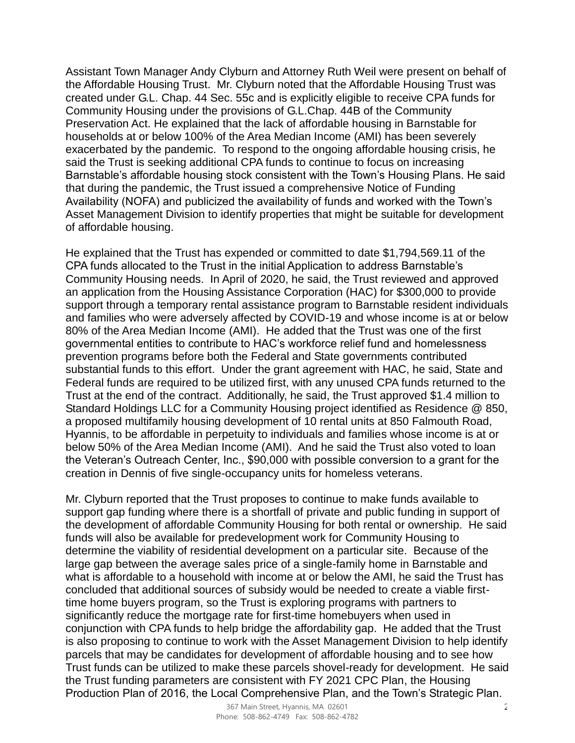Assistant Town Manager Andy Clyburn and Attorney Ruth Weil were present on behalf of the Affordable Housing Trust. Mr. Clyburn noted that the Affordable Housing Trust was created under G.L. Chap. 44 Sec. 55c and is explicitly eligible to receive CPA funds for Community Housing under the provisions of G.L.Chap. 44B of the Community Preservation Act. He explained that the lack of affordable housing in Barnstable for households at or below 100% of the Area Median Income (AMI) has been severely exacerbated by the pandemic. To respond to the ongoing affordable housing crisis, he said the Trust is seeking additional CPA funds to continue to focus on increasing Barnstable's affordable housing stock consistent with the Town's Housing Plans. He said that during the pandemic, the Trust issued a comprehensive Notice of Funding Availability (NOFA) and publicized the availability of funds and worked with the Town's Asset Management Division to identify properties that might be suitable for development of affordable housing.

He explained that the Trust has expended or committed to date \$1,794,569.11 of the CPA funds allocated to the Trust in the initial Application to address Barnstable's Community Housing needs. In April of 2020, he said, the Trust reviewed and approved an application from the Housing Assistance Corporation (HAC) for \$300,000 to provide support through a temporary rental assistance program to Barnstable resident individuals and families who were adversely affected by COVID-19 and whose income is at or below 80% of the Area Median Income (AMI). He added that the Trust was one of the first governmental entities to contribute to HAC's workforce relief fund and homelessness prevention programs before both the Federal and State governments contributed substantial funds to this effort. Under the grant agreement with HAC, he said, State and Federal funds are required to be utilized first, with any unused CPA funds returned to the Trust at the end of the contract. Additionally, he said, the Trust approved \$1.4 million to Standard Holdings LLC for a Community Housing project identified as Residence @ 850, a proposed multifamily housing development of 10 rental units at 850 Falmouth Road, Hyannis, to be affordable in perpetuity to individuals and families whose income is at or below 50% of the Area Median Income (AMI). And he said the Trust also voted to loan the Veteran's Outreach Center, Inc., \$90,000 with possible conversion to a grant for the creation in Dennis of five single-occupancy units for homeless veterans.

Mr. Clyburn reported that the Trust proposes to continue to make funds available to support gap funding where there is a shortfall of private and public funding in support of the development of affordable Community Housing for both rental or ownership. He said funds will also be available for predevelopment work for Community Housing to determine the viability of residential development on a particular site. Because of the large gap between the average sales price of a single-family home in Barnstable and what is affordable to a household with income at or below the AMI, he said the Trust has concluded that additional sources of subsidy would be needed to create a viable firsttime home buyers program, so the Trust is exploring programs with partners to significantly reduce the mortgage rate for first-time homebuyers when used in conjunction with CPA funds to help bridge the affordability gap. He added that the Trust is also proposing to continue to work with the Asset Management Division to help identify parcels that may be candidates for development of affordable housing and to see how Trust funds can be utilized to make these parcels shovel-ready for development. He said the Trust funding parameters are consistent with FY 2021 CPC Plan, the Housing Production Plan of 2016, the Local Comprehensive Plan, and the Town's Strategic Plan.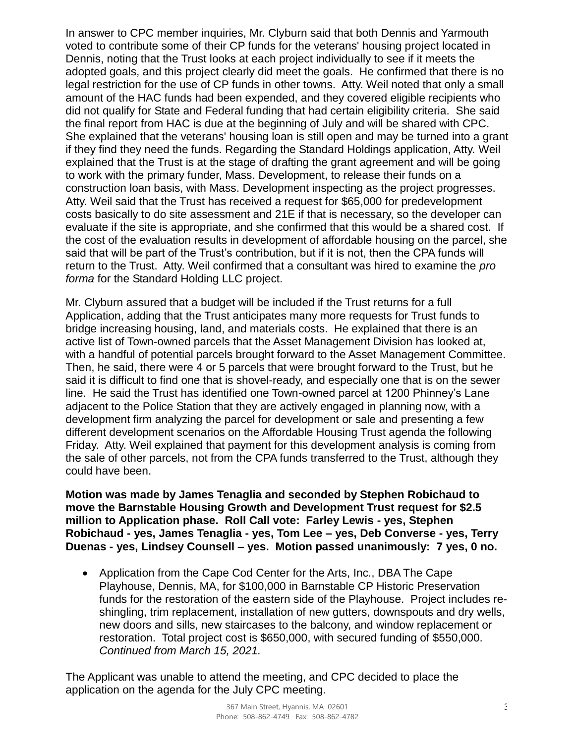In answer to CPC member inquiries, Mr. Clyburn said that both Dennis and Yarmouth voted to contribute some of their CP funds for the veterans' housing project located in Dennis, noting that the Trust looks at each project individually to see if it meets the adopted goals, and this project clearly did meet the goals. He confirmed that there is no legal restriction for the use of CP funds in other towns. Atty. Weil noted that only a small amount of the HAC funds had been expended, and they covered eligible recipients who did not qualify for State and Federal funding that had certain eligibility criteria. She said the final report from HAC is due at the beginning of July and will be shared with CPC. She explained that the veterans' housing loan is still open and may be turned into a grant if they find they need the funds. Regarding the Standard Holdings application, Atty. Weil explained that the Trust is at the stage of drafting the grant agreement and will be going to work with the primary funder, Mass. Development, to release their funds on a construction loan basis, with Mass. Development inspecting as the project progresses. Atty. Weil said that the Trust has received a request for \$65,000 for predevelopment costs basically to do site assessment and 21E if that is necessary, so the developer can evaluate if the site is appropriate, and she confirmed that this would be a shared cost. If the cost of the evaluation results in development of affordable housing on the parcel, she said that will be part of the Trust's contribution, but if it is not, then the CPA funds will return to the Trust. Atty. Weil confirmed that a consultant was hired to examine the *pro forma* for the Standard Holding LLC project.

Mr. Clyburn assured that a budget will be included if the Trust returns for a full Application, adding that the Trust anticipates many more requests for Trust funds to bridge increasing housing, land, and materials costs. He explained that there is an active list of Town-owned parcels that the Asset Management Division has looked at, with a handful of potential parcels brought forward to the Asset Management Committee. Then, he said, there were 4 or 5 parcels that were brought forward to the Trust, but he said it is difficult to find one that is shovel-ready, and especially one that is on the sewer line. He said the Trust has identified one Town-owned parcel at 1200 Phinney's Lane adjacent to the Police Station that they are actively engaged in planning now, with a development firm analyzing the parcel for development or sale and presenting a few different development scenarios on the Affordable Housing Trust agenda the following Friday. Atty. Weil explained that payment for this development analysis is coming from the sale of other parcels, not from the CPA funds transferred to the Trust, although they could have been.

**Motion was made by James Tenaglia and seconded by Stephen Robichaud to move the Barnstable Housing Growth and Development Trust request for \$2.5 million to Application phase. Roll Call vote: Farley Lewis - yes, Stephen Robichaud - yes, James Tenaglia - yes, Tom Lee – yes, Deb Converse - yes, Terry Duenas - yes, Lindsey Counsell – yes. Motion passed unanimously: 7 yes, 0 no.**

 Application from the Cape Cod Center for the Arts, Inc., DBA The Cape Playhouse, Dennis, MA, for \$100,000 in Barnstable CP Historic Preservation funds for the restoration of the eastern side of the Playhouse. Project includes reshingling, trim replacement, installation of new gutters, downspouts and dry wells, new doors and sills, new staircases to the balcony, and window replacement or restoration. Total project cost is \$650,000, with secured funding of \$550,000. *Continued from March 15, 2021.*

The Applicant was unable to attend the meeting, and CPC decided to place the application on the agenda for the July CPC meeting.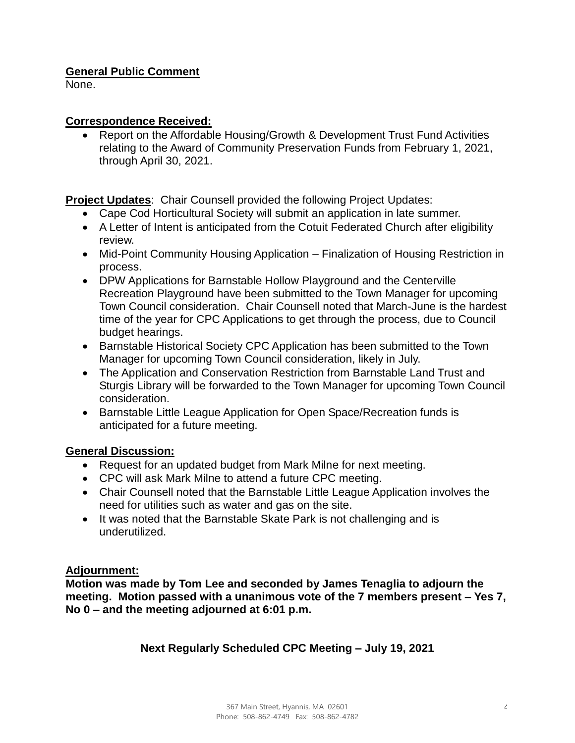## **General Public Comment**

None.

#### **Correspondence Received:**

 Report on the Affordable Housing/Growth & Development Trust Fund Activities relating to the Award of Community Preservation Funds from February 1, 2021, through April 30, 2021.

**Project Updates**: Chair Counsell provided the following Project Updates:

- Cape Cod Horticultural Society will submit an application in late summer.
- A Letter of Intent is anticipated from the Cotuit Federated Church after eligibility review.
- Mid-Point Community Housing Application Finalization of Housing Restriction in process.
- DPW Applications for Barnstable Hollow Playground and the Centerville Recreation Playground have been submitted to the Town Manager for upcoming Town Council consideration. Chair Counsell noted that March-June is the hardest time of the year for CPC Applications to get through the process, due to Council budget hearings.
- Barnstable Historical Society CPC Application has been submitted to the Town Manager for upcoming Town Council consideration, likely in July.
- The Application and Conservation Restriction from Barnstable Land Trust and Sturgis Library will be forwarded to the Town Manager for upcoming Town Council consideration.
- Barnstable Little League Application for Open Space/Recreation funds is anticipated for a future meeting.

## **General Discussion:**

- Request for an updated budget from Mark Milne for next meeting.
- CPC will ask Mark Milne to attend a future CPC meeting.
- Chair Counsell noted that the Barnstable Little League Application involves the need for utilities such as water and gas on the site.
- It was noted that the Barnstable Skate Park is not challenging and is underutilized.

## **Adjournment:**

**Motion was made by Tom Lee and seconded by James Tenaglia to adjourn the meeting. Motion passed with a unanimous vote of the 7 members present – Yes 7, No 0 – and the meeting adjourned at 6:01 p.m.**

## **Next Regularly Scheduled CPC Meeting – July 19, 2021**